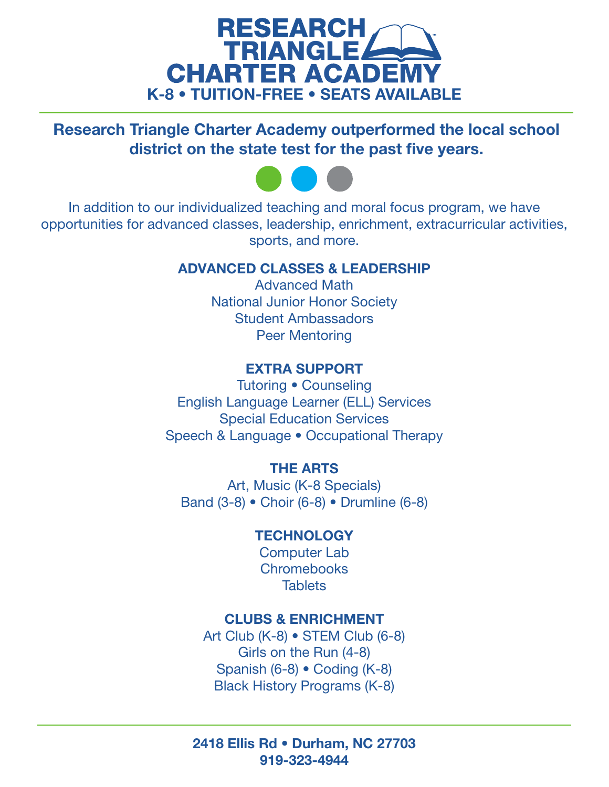

Research Triangle Charter Academy outperformed the local school district on the state test for the past five years.



In addition to our individualized teaching and moral focus program, we have opportunities for advanced classes, leadership, enrichment, extracurricular activities, sports, and more.

## ADVANCED CLASSES & LEADERSHIP

Advanced Math National Junior Honor Society Student Ambassadors Peer Mentoring

# EXTRA SUPPORT

Tutoring • Counseling English Language Learner (ELL) Services Special Education Services Speech & Language • Occupational Therapy

# THE ARTS

Art, Music (K-8 Specials) Band (3-8) • Choir (6-8) • Drumline (6-8)

## **TECHNOLOGY**

Computer Lab **Chromebooks Tablets** 

## CLUBS & ENRICHMENT

Art Club (K-8) • STEM Club (6-8) Girls on the Run (4-8) Spanish (6-8) • Coding (K-8) Black History Programs (K-8)

2418 Ellis Rd • Durham, NC 27703 919-323-4944